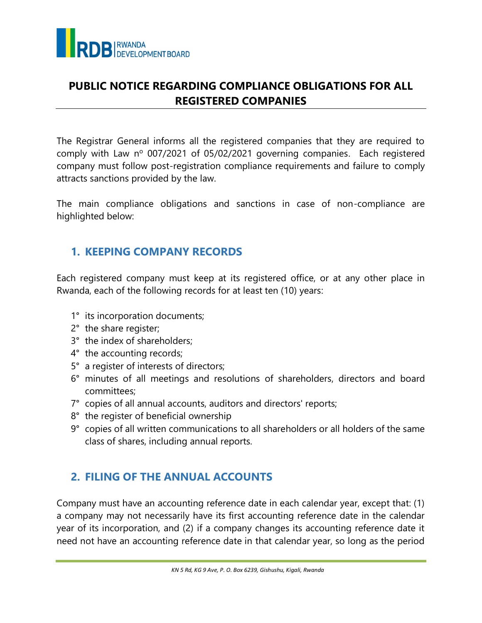

## **PUBLIC NOTICE REGARDING COMPLIANCE OBLIGATIONS FOR ALL REGISTERED COMPANIES**

The Registrar General informs all the registered companies that they are required to comply with Law nº 007/2021 of 05/02/2021 governing companies. Each registered company must follow post-registration compliance requirements and failure to comply attracts sanctions provided by the law.

The main compliance obligations and sanctions in case of non-compliance are highlighted below:

## **1. KEEPING COMPANY RECORDS**

Each registered company must keep at its registered office, or at any other place in Rwanda, each of the following records for at least ten (10) years:

- 1° its incorporation documents;
- 2° the share register;
- 3° the index of shareholders;
- 4° the accounting records;
- 5° a register of interests of directors;
- 6° minutes of all meetings and resolutions of shareholders, directors and board committees;
- 7° copies of all annual accounts, auditors and directors' reports;
- 8° the register of beneficial ownership
- 9° copies of all written communications to all shareholders or all holders of the same class of shares, including annual reports.

# **2. FILING OF THE ANNUAL ACCOUNTS**

Company must have an accounting reference date in each calendar year, except that: (1) a company may not necessarily have its first accounting reference date in the calendar year of its incorporation, and (2) if a company changes its accounting reference date it need not have an accounting reference date in that calendar year, so long as the period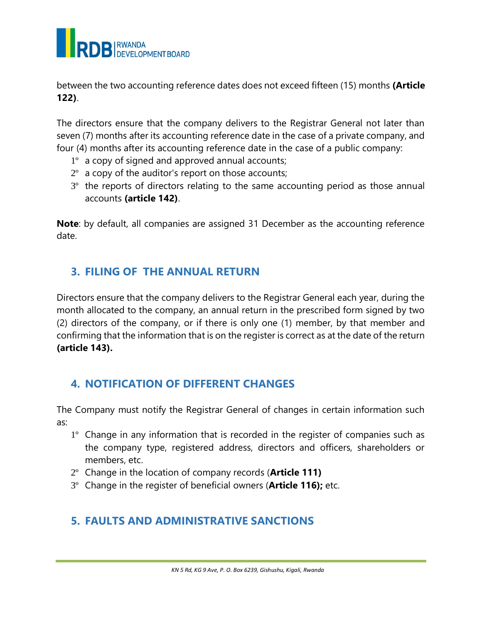

between the two accounting reference dates does not exceed fifteen (15) months **(Article 122)**.

The directors ensure that the company delivers to the Registrar General not later than seven (7) months after its accounting reference date in the case of a private company, and four (4) months after its accounting reference date in the case of a public company:

- 1º a copy of signed and approved annual accounts;
- $2^{\circ}$  a copy of the auditor's report on those accounts;
- $3<sup>°</sup>$  the reports of directors relating to the same accounting period as those annual accounts **(article 142)**.

**Note**: by default, all companies are assigned 31 December as the accounting reference date.

#### **3. FILING OF THE ANNUAL RETURN**

Directors ensure that the company delivers to the Registrar General each year, during the month allocated to the company, an annual return in the prescribed form signed by two (2) directors of the company, or if there is only one (1) member, by that member and confirming that the information that is on the register is correct as at the date of the return **(article 143).** 

## **4. NOTIFICATION OF DIFFERENT CHANGES**

The Company must notify the Registrar General of changes in certain information such as:

- 1º Change in any information that is recorded in the register of companies such as the company type, registered address, directors and officers, shareholders or members, etc.
- 2º Change in the location of company records (**Article 111)**
- 3º Change in the register of beneficial owners (**Article 116);** etc.

## **5. FAULTS AND ADMINISTRATIVE SANCTIONS**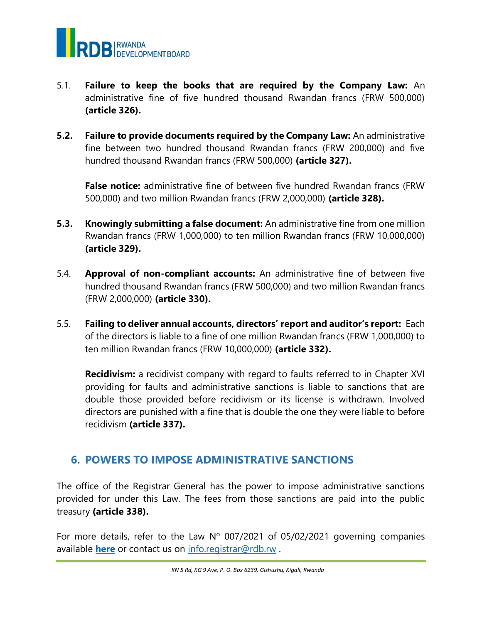

- 5.1. **Failure to keep the books that are required by the Company Law:** An administrative fine of five hundred thousand Rwandan francs (FRW 500,000) **(article 326).**
- **5.2. Failure to provide documents required by the Company Law:** An administrative fine between two hundred thousand Rwandan francs (FRW 200,000) and five hundred thousand Rwandan francs (FRW 500,000) **(article 327).**

**False notice:** administrative fine of between five hundred Rwandan francs (FRW 500,000) and two million Rwandan francs (FRW 2,000,000) **(article 328).**

- **5.3. Knowingly submitting a false document:** An administrative fine from one million Rwandan francs (FRW 1,000,000) to ten million Rwandan francs (FRW 10,000,000) **(article 329).**
- 5.4. **Approval of non-compliant accounts:** An administrative fine of between five hundred thousand Rwandan francs (FRW 500,000) and two million Rwandan francs (FRW 2,000,000) **(article 330).**
- 5.5. **Failing to deliver annual accounts, directors' report and auditor's report:** Each of the directors is liable to a fine of one million Rwandan francs (FRW 1,000,000) to ten million Rwandan francs (FRW 10,000,000) **(article 332).**

**Recidivism:** a recidivist company with regard to faults referred to in Chapter XVI providing for faults and administrative sanctions is liable to sanctions that are double those provided before recidivism or its license is withdrawn. Involved directors are punished with a fine that is double the one they were liable to before recidivism **(article 337).**

## **6. POWERS TO IMPOSE ADMINISTRATIVE SANCTIONS**

The office of the Registrar General has the power to impose administrative sanctions provided for under this Law. The fees from those sanctions are paid into the public treasury **(article 338).**

For more details, refer to the Law  $N^{\circ}$  007/2021 of 05/02/2021 governing companies available **[here](https://www.minijust.gov.rw/index.php?eID=dumpFile&t=f&f=16501&token=dc322289ffd564e736cf64629dcd57b54e4ff918)** or contact us on [info.registrar@rdb.rw](mailto:info.registrar@rdb.rw) .